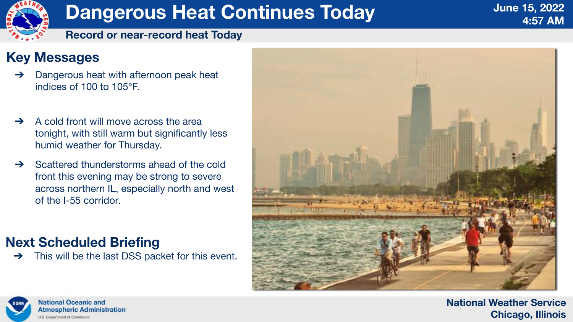#### **National Weather Service Chicago, Illinois**



# **Dangerous Heat Continues Today**

#### **Record or near-record heat Today**

### **Key Messages**

- **→** Dangerous heat with afternoon peak heat indices of 100 to 105°F.
- ➔ A cold front will move across the area tonight, with still warm but significantly less humid weather for Thursday.
- ➔ Scattered thunderstorms ahead of the cold front this evening may be strong to severe across northern IL, especially north and west of the I-55 corridor.

## **Next Scheduled Briefing**

➔ This will be the last DSS packet for this event.



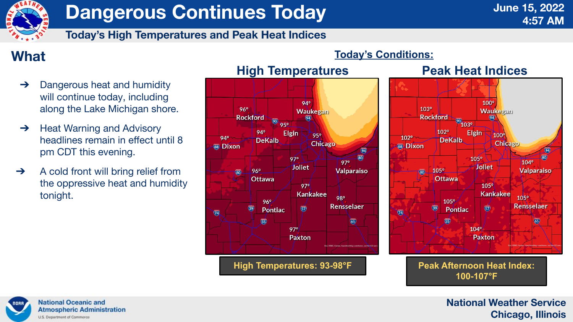#### **National Weather Service Chicago, Illinois**



# **Dangerous Continues Today**

**Today's High Temperatures and Peak Heat Indices**





## **100-107°F**

## **What**

- ➔ Dangerous heat and humidity will continue today, including along the Lake Michigan shore.
- **→** Heat Warning and Advisory headlines remain in effect until 8 pm CDT this evening.
- → A cold front will bring relief from the oppressive heat and humidity tonight.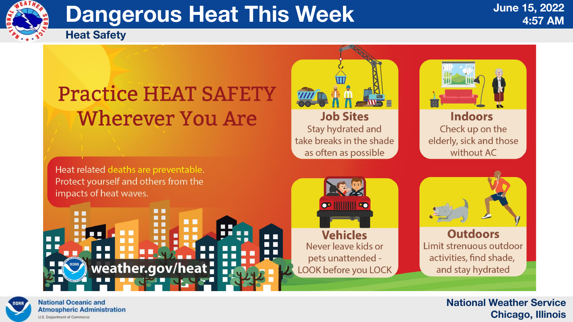

#### **Indoors** Check up on the elderly, sick and those without AC

**Outdoors** Limit strenuous outdoor activities, find shade, and stay hydrated

#### **National Weather Service Chicago, Illinois**



# **Dangerous Heat This Week**

**Heat Safety**

# **Practice HEAT SAFETY Wherever You Are**

n n

weather.gov/heat:

**DE 19** 



### **Job Sites**

Stay hydrated and take breaks in the shade as often as possible



Heat related deaths are preventable. Protect yourself and others from the impacts of heat waves.





 $\blacksquare$ 





**National Oceanic and Atmospheric Administration** U.S. Department of Commerce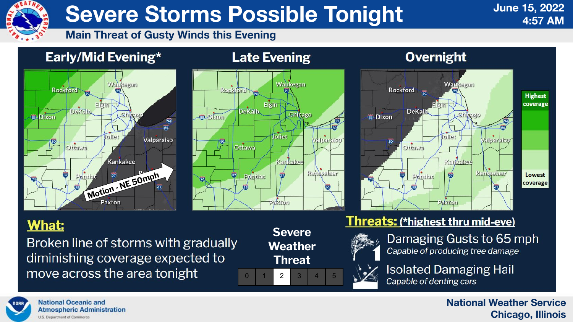

**Isolated Damaging Hail** 

#### **National Weather Service Chicago, Illinois**



# **Severe Storms Possible Tonight**

#### **Main Threat of Gusty Winds this Evening**

### Early/Mid Evening\*



#### **Threats: (\*highest thru mid-eve)**



Damaging Gusts to 65 mph Capable of producing tree damage











#### **Overnight**



## **What:**

Broken line of storms with gradually diminishing coverage expected to move across the area tonight